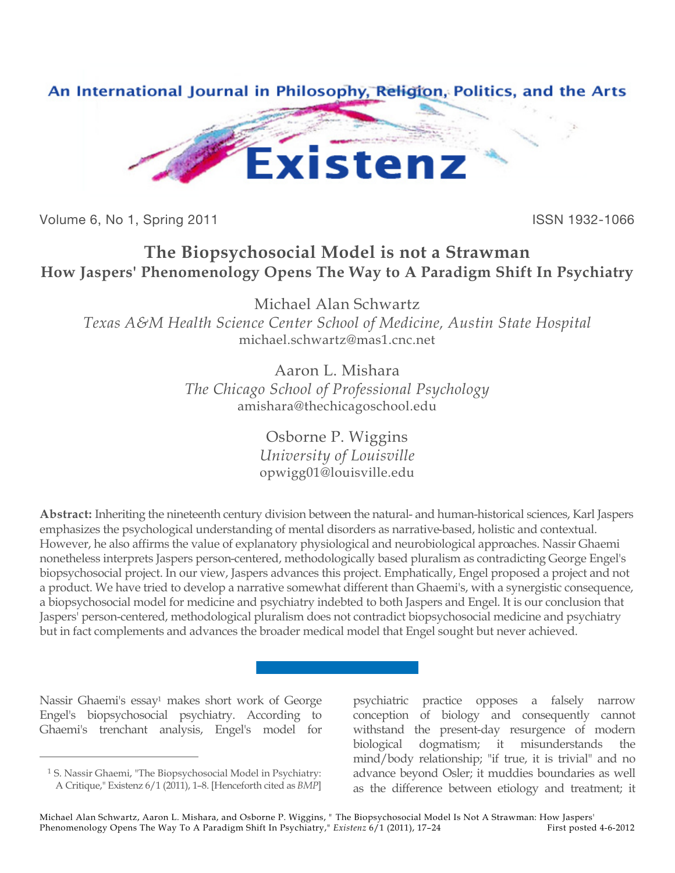

Volume 6, No 1, Spring 2011 **ISSN 1932-1066** 

## **The Biopsychosocial Model is not a Strawman How Jaspers' Phenomenology Opens The Way to A Paradigm Shift In Psychiatry**

Michael Alan Schwartz

*Texas A&M Health Science Center School of Medicine, Austin State Hospital* michael.schwartz@mas1.cnc.net

> Aaron L. Mishara *The Chicago School of Professional Psychology* amishara@thechicagoschool.edu

> > Osborne P. Wiggins *University of Louisville* opwigg01@louisville.edu

**Abstract:** Inheriting the nineteenth century division between the natural- and human-historical sciences, Karl Jaspers emphasizes the psychological understanding of mental disorders as narrative-based, holistic and contextual. However, he also affirms the value of explanatory physiological and neurobiological approaches. Nassir Ghaemi nonetheless interprets Jaspers person-centered, methodologically based pluralism as contradicting George Engel's biopsychosocial project. In our view, Jaspers advances this project. Emphatically, Engel proposed a project and not a product. We have tried to develop a narrative somewhat different than Ghaemi's, with a synergistic consequence, a biopsychosocial model for medicine and psychiatry indebted to both Jaspers and Engel. It is our conclusion that Jaspers' person-centered, methodological pluralism does not contradict biopsychosocial medicine and psychiatry but in fact complements and advances the broader medical model that Engel sought but never achieved.

Nassir Ghaemi's essay<sup>1</sup> makes short work of George Engel's biopsychosocial psychiatry. According to Ghaemi's trenchant analysis, Engel's model for

 $\overline{a}$ 

psychiatric practice opposes a falsely narrow conception of biology and consequently cannot withstand the present-day resurgence of modern biological dogmatism; it misunderstands the mind/body relationship; "if true, it is trivial" and no advance beyond Osler; it muddies boundaries as well as the difference between etiology and treatment; it

<sup>1</sup> S. Nassir Ghaemi, "The Biopsychosocial Model in Psychiatry: A Critique," Existenz 6/1 (2011), 1–8. [Henceforth cited as *BMP*]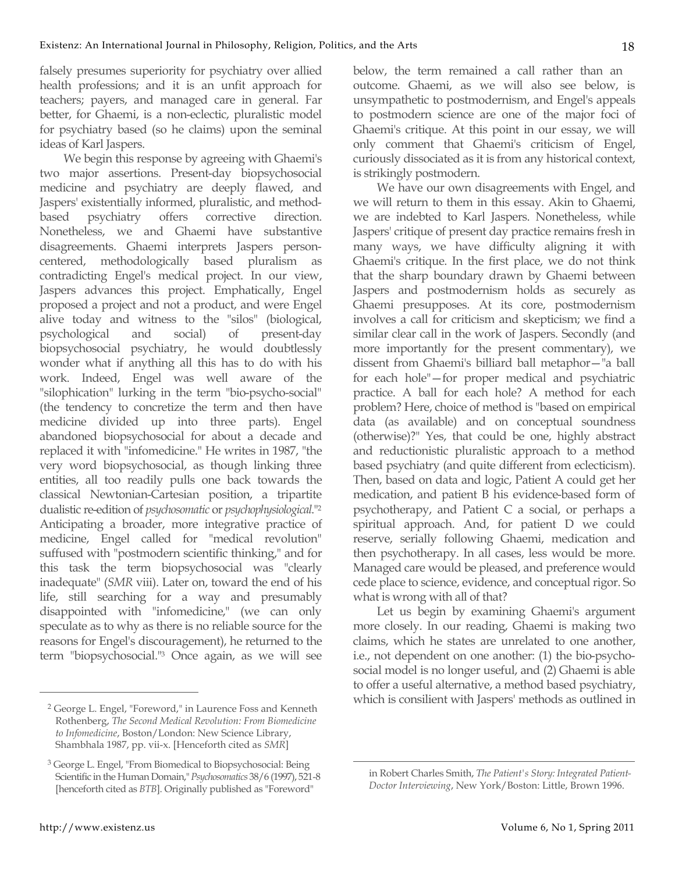falsely presumes superiority for psychiatry over allied health professions; and it is an unfit approach for teachers; payers, and managed care in general. Far better, for Ghaemi, is a non-eclectic, pluralistic model for psychiatry based (so he claims) upon the seminal ideas of Karl Jaspers.

We begin this response by agreeing with Ghaemi's two major assertions. Present-day biopsychosocial medicine and psychiatry are deeply flawed, and Jaspers' existentially informed, pluralistic, and methodbased psychiatry offers corrective direction. Nonetheless, we and Ghaemi have substantive disagreements. Ghaemi interprets Jaspers personcentered, methodologically based pluralism as contradicting Engel's medical project. In our view, Jaspers advances this project. Emphatically, Engel proposed a project and not a product, and were Engel alive today and witness to the "silos" (biological, psychological and social) of present-day biopsychosocial psychiatry, he would doubtlessly wonder what if anything all this has to do with his work. Indeed, Engel was well aware of the "silophication" lurking in the term "bio-psycho-social" (the tendency to concretize the term and then have medicine divided up into three parts). Engel abandoned biopsychosocial for about a decade and replaced it with "infomedicine." He writes in 1987, "the very word biopsychosocial, as though linking three entities, all too readily pulls one back towards the classical Newtonian-Cartesian position, a tripartite dualistic re-edition of *psychosomatic* or *psychophysiological*."2 Anticipating a broader, more integrative practice of medicine, Engel called for "medical revolution" suffused with "postmodern scientific thinking," and for this task the term biopsychosocial was "clearly inadequate" (*SMR* viii). Later on, toward the end of his life, still searching for a way and presumably disappointed with "infomedicine," (we can only speculate as to why as there is no reliable source for the reasons for Engel's discouragement), he returned to the term "biopsychosocial."3 Once again, as we will see

 $\overline{a}$ 

below, the term remained a call rather than an outcome. Ghaemi, as we will also see below, is unsympathetic to postmodernism, and Engel's appeals to postmodern science are one of the major foci of Ghaemi's critique. At this point in our essay, we will only comment that Ghaemi's criticism of Engel, curiously dissociated as it is from any historical context, is strikingly postmodern.

We have our own disagreements with Engel, and we will return to them in this essay. Akin to Ghaemi, we are indebted to Karl Jaspers. Nonetheless, while Jaspers' critique of present day practice remains fresh in many ways, we have difficulty aligning it with Ghaemi's critique. In the first place, we do not think that the sharp boundary drawn by Ghaemi between Jaspers and postmodernism holds as securely as Ghaemi presupposes. At its core, postmodernism involves a call for criticism and skepticism; we find a similar clear call in the work of Jaspers. Secondly (and more importantly for the present commentary), we dissent from Ghaemi's billiard ball metaphor—"a ball for each hole"—for proper medical and psychiatric practice. A ball for each hole? A method for each problem? Here, choice of method is "based on empirical data (as available) and on conceptual soundness (otherwise)?" Yes, that could be one, highly abstract and reductionistic pluralistic approach to a method based psychiatry (and quite different from eclecticism). Then, based on data and logic, Patient A could get her medication, and patient B his evidence-based form of psychotherapy, and Patient C a social, or perhaps a spiritual approach. And, for patient D we could reserve, serially following Ghaemi, medication and then psychotherapy. In all cases, less would be more. Managed care would be pleased, and preference would cede place to science, evidence, and conceptual rigor. So what is wrong with all of that?

Let us begin by examining Ghaemi's argument more closely. In our reading, Ghaemi is making two claims, which he states are unrelated to one another, i.e., not dependent on one another: (1) the bio-psychosocial model is no longer useful, and (2) Ghaemi is able to offer a useful alternative, a method based psychiatry, which is consilient with Jaspers' methods as outlined in

<sup>2</sup> George L. Engel, "Foreword," in Laurence Foss and Kenneth Rothenberg, *The Second Medical Revolution: From Biomedicine to Infomedicine*, Boston/London: New Science Library, Shambhala 1987, pp. vii-x. [Henceforth cited as *SMR*]

<sup>3</sup> George L. Engel, "From Biomedical to Biopsychosocial: Being Scientific in the Human Domain," *Psychosomatics* 38/6 (1997), 521-8 [henceforth cited as *BTB*]. Originally published as "Foreword"

in Robert Charles Smith, *The Patient's Story: Integrated Patient-Doctor Interviewing*, New York/Boston: Little, Brown 1996.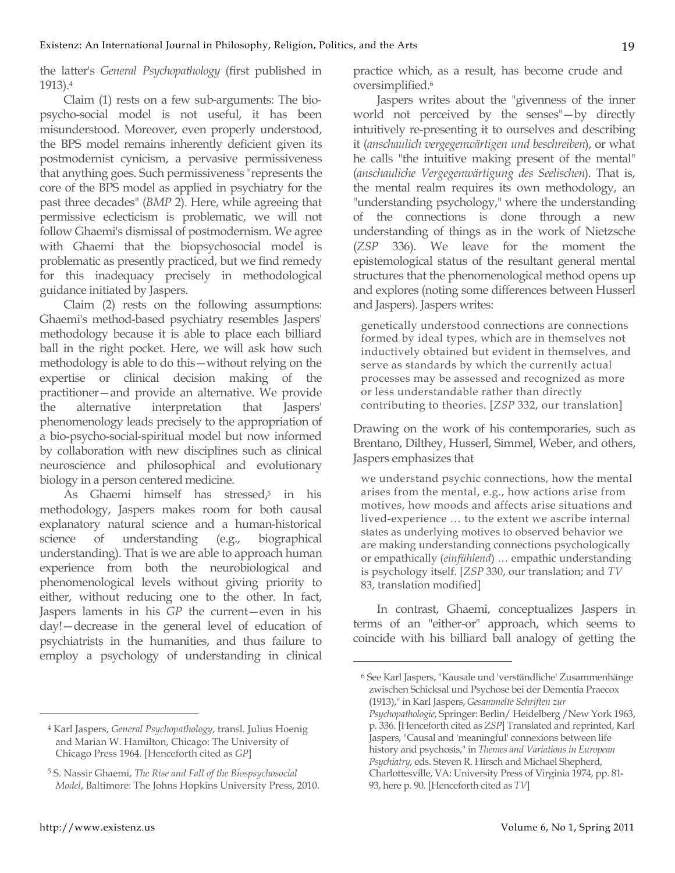the latter's *General Psychopathology* (first published in 1913).4

Claim (1) rests on a few sub-arguments: The biopsycho-social model is not useful, it has been misunderstood. Moreover, even properly understood, the BPS model remains inherently deficient given its postmodernist cynicism, a pervasive permissiveness that anything goes. Such permissiveness "represents the core of the BPS model as applied in psychiatry for the past three decades" (*BMP* 2). Here, while agreeing that permissive eclecticism is problematic, we will not follow Ghaemi's dismissal of postmodernism. We agree with Ghaemi that the biopsychosocial model is problematic as presently practiced, but we find remedy for this inadequacy precisely in methodological guidance initiated by Jaspers.

Claim (2) rests on the following assumptions: Ghaemi's method-based psychiatry resembles Jaspers' methodology because it is able to place each billiard ball in the right pocket. Here, we will ask how such methodology is able to do this—without relying on the expertise or clinical decision making of the practitioner—and provide an alternative. We provide the alternative interpretation that Jaspers' phenomenology leads precisely to the appropriation of a bio-psycho-social-spiritual model but now informed by collaboration with new disciplines such as clinical neuroscience and philosophical and evolutionary biology in a person centered medicine.

As Ghaemi himself has stressed,<sup>5</sup> in his methodology, Jaspers makes room for both causal explanatory natural science and a human-historical science of understanding (e.g., biographical understanding). That is we are able to approach human experience from both the neurobiological and phenomenological levels without giving priority to either, without reducing one to the other. In fact, Jaspers laments in his *GP* the current—even in his day!—decrease in the general level of education of psychiatrists in the humanities, and thus failure to employ a psychology of understanding in clinical

practice which, as a result, has become crude and oversimplified.6

Jaspers writes about the "givenness of the inner world not perceived by the senses"—by directly intuitively re-presenting it to ourselves and describing it (*anschaulich vergegenwärtigen und beschreiben*), or what he calls "the intuitive making present of the mental" (*anschauliche Vergegenwärtigung des Seelischen*). That is, the mental realm requires its own methodology, an "understanding psychology," where the understanding of the connections is done through a new understanding of things as in the work of Nietzsche (*ZSP* 336). We leave for the moment the epistemological status of the resultant general mental structures that the phenomenological method opens up and explores (noting some differences between Husserl and Jaspers). Jaspers writes:

genetically understood connections are connections formed by ideal types, which are in themselves not inductively obtained but evident in themselves, and serve as standards by which the currently actual processes may be assessed and recognized as more or less understandable rather than directly contributing to theories. [*ZSP* 332, our translation]

Drawing on the work of his contemporaries, such as Brentano, Dilthey, Husserl, Simmel, Weber, and others, Jaspers emphasizes that

we understand psychic connections, how the mental arises from the mental, e.g., how actions arise from motives, how moods and affects arise situations and lived-experience … to the extent we ascribe internal states as underlying motives to observed behavior we are making understanding connections psychologically or empathically (*einfühlend*) … empathic understanding is psychology itself. [*ZSP* 330, our translation; and *TV* 83, translation modified]

In contrast, Ghaemi, conceptualizes Jaspers in terms of an "either-or" approach, which seems to coincide with his billiard ball analogy of getting the

 $\overline{a}$ 

<sup>4</sup> Karl Jaspers, *General Psychopathology*, transl. Julius Hoenig and Marian W. Hamilton, Chicago: The University of Chicago Press 1964. [Henceforth cited as *GP*]

<sup>5</sup> S. Nassir Ghaemi, *The Rise and Fall of the Biospsychosocial Model*, Baltimore: The Johns Hopkins University Press, 2010.

<sup>6</sup> See Karl Jaspers, "Kausale und 'verständliche' Zusammenhänge zwischen Schicksal und Psychose bei der Dementia Praecox (1913)," in Karl Jaspers, *Gesammelte Schriften zur Psychopathologie*, Springer: Berlin/ Heidelberg /New York 1963, p. 336. [Henceforth cited as *ZSP*] Translated and reprinted, Karl Jaspers, "Causal and 'meaningful' connexions between life history and psychosis," in *Themes and Variations in European Psychiatry*, eds. Steven R. Hirsch and Michael Shepherd,

Charlottesville, VA: University Press of Virginia 1974, pp. 81- 93, here p. 90. [Henceforth cited as *TV*]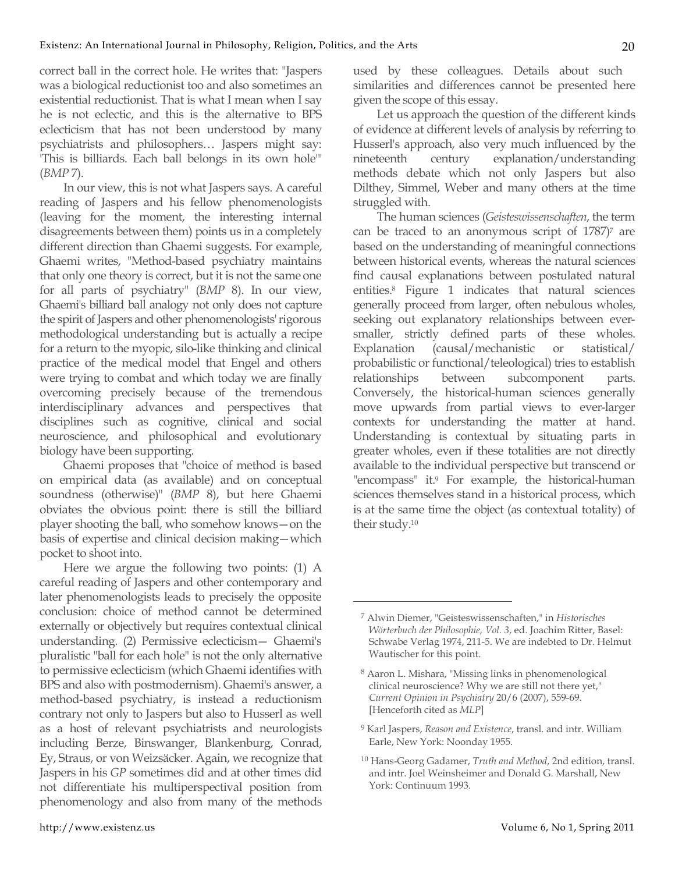correct ball in the correct hole. He writes that: "Jaspers was a biological reductionist too and also sometimes an existential reductionist. That is what I mean when I say he is not eclectic, and this is the alternative to BPS eclecticism that has not been understood by many psychiatrists and philosophers… Jaspers might say: 'This is billiards. Each ball belongs in its own hole'" (*BMP* 7).

In our view, this is not what Jaspers says. A careful reading of Jaspers and his fellow phenomenologists (leaving for the moment, the interesting internal disagreements between them) points us in a completely different direction than Ghaemi suggests. For example, Ghaemi writes, "Method-based psychiatry maintains that only one theory is correct, but it is not the same one for all parts of psychiatry" (*BMP* 8). In our view, Ghaemi's billiard ball analogy not only does not capture the spirit of Jaspers and other phenomenologists' rigorous methodological understanding but is actually a recipe for a return to the myopic, silo-like thinking and clinical practice of the medical model that Engel and others were trying to combat and which today we are finally overcoming precisely because of the tremendous interdisciplinary advances and perspectives that disciplines such as cognitive, clinical and social neuroscience, and philosophical and evolutionary biology have been supporting.

Ghaemi proposes that "choice of method is based on empirical data (as available) and on conceptual soundness (otherwise)" (*BMP* 8), but here Ghaemi obviates the obvious point: there is still the billiard player shooting the ball, who somehow knows—on the basis of expertise and clinical decision making—which pocket to shoot into.

Here we argue the following two points: (1) A careful reading of Jaspers and other contemporary and later phenomenologists leads to precisely the opposite conclusion: choice of method cannot be determined externally or objectively but requires contextual clinical understanding. (2) Permissive eclecticism— Ghaemi's pluralistic "ball for each hole" is not the only alternative to permissive eclecticism (which Ghaemi identifies with BPS and also with postmodernism). Ghaemi's answer, a method-based psychiatry, is instead a reductionism contrary not only to Jaspers but also to Husserl as well as a host of relevant psychiatrists and neurologists including Berze, Binswanger, Blankenburg, Conrad, Ey, Straus, or von Weizsäcker. Again, we recognize that Jaspers in his *GP* sometimes did and at other times did not differentiate his multiperspectival position from phenomenology and also from many of the methods used by these colleagues. Details about such similarities and differences cannot be presented here given the scope of this essay.

Let us approach the question of the different kinds of evidence at different levels of analysis by referring to Husserl's approach, also very much influenced by the nineteenth century explanation/understanding methods debate which not only Jaspers but also Dilthey, Simmel, Weber and many others at the time struggled with.

The human sciences (*Geisteswissenschaften*, the term can be traced to an anonymous script of  $1787$ <sup> $\sigma$ </sup> are based on the understanding of meaningful connections between historical events, whereas the natural sciences find causal explanations between postulated natural entities.8 Figure 1 indicates that natural sciences generally proceed from larger, often nebulous wholes, seeking out explanatory relationships between eversmaller, strictly defined parts of these wholes. Explanation (causal/mechanistic or statistical/ probabilistic or functional/teleological) tries to establish relationships between subcomponent parts. Conversely, the historical-human sciences generally move upwards from partial views to ever-larger contexts for understanding the matter at hand. Understanding is contextual by situating parts in greater wholes, even if these totalities are not directly available to the individual perspective but transcend or "encompass" it.9 For example, the historical-human sciences themselves stand in a historical process, which is at the same time the object (as contextual totality) of their study.10

<sup>7</sup> Alwin Diemer, "Geisteswissenschaften," in *Historisches Wörterbuch der Philosophie, Vol. 3*, ed. Joachim Ritter, Basel: Schwabe Verlag 1974, 211-5. We are indebted to Dr. Helmut Wautischer for this point.

<sup>8</sup> Aaron L. Mishara, "Missing links in phenomenological clinical neuroscience? Why we are still not there yet," *Current Opinion in Psychiatry* 20/6 (2007), 559-69. [Henceforth cited as *MLP*]

<sup>9</sup> Karl Jaspers, *Reason and Existence*, transl. and intr. William Earle, New York: Noonday 1955.

<sup>10</sup> Hans-Georg Gadamer, *Truth and Method*, 2nd edition, transl. and intr. Joel Weinsheimer and Donald G. Marshall, New York: Continuum 1993.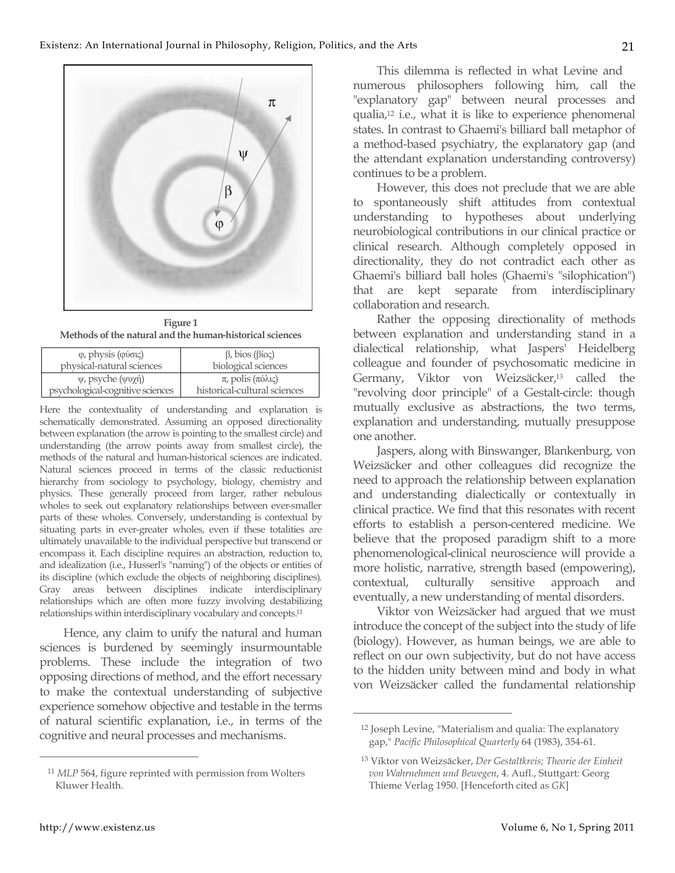

**Figure 1 Methods of the natural and the human-historical sciences**

| $φ$ , physis (φύσις)             | $\beta$ , bios ( $\beta$ ioς) |
|----------------------------------|-------------------------------|
| physical-natural sciences        | biological sciences           |
| $ψ$ , psyche (ψυχή)              | $\pi$ , polis (πόλις)         |
| psychological-cognitive sciences | historical-cultural sciences  |

Here the contextuality of understanding and explanation is schematically demonstrated. Assuming an opposed directionality between explanation (the arrow is pointing to the smallest circle) and understanding (the arrow points away from smallest circle), the methods of the natural and human-historical sciences are indicated. Natural sciences proceed in terms of the classic reductionist hierarchy from sociology to psychology, biology, chemistry and physics. These generally proceed from larger, rather nebulous wholes to seek out explanatory relationships between ever-smaller parts of these wholes. Conversely, understanding is contextual by situating parts in ever-greater wholes, even if these totalities are ultimately unavailable to the individual perspective but transcend or encompass it. Each discipline requires an abstraction, reduction to, and idealization (i.e., Husserl's "naming") of the objects or entities of its discipline (which exclude the objects of neighboring disciplines). Gray areas between disciplines indicate interdisciplinary relationships which are often more fuzzy involving destabilizing relationships within interdisciplinary vocabulary and concepts.11

Hence, any claim to unify the natural and human sciences is burdened by seemingly insurmountable problems. These include the integration of two opposing directions of method, and the effort necessary to make the contextual understanding of subjective experience somehow objective and testable in the terms of natural scientific explanation, i.e., in terms of the cognitive and neural processes and mechanisms.

This dilemma is reflected in what Levine and numerous philosophers following him, call the "explanatory gap" between neural processes and qualia,12 i.e., what it is like to experience phenomenal states. In contrast to Ghaemi's billiard ball metaphor of a method-based psychiatry, the explanatory gap (and the attendant explanation understanding controversy) continues to be a problem.

However, this does not preclude that we are able to spontaneously shift attitudes from contextual understanding to hypotheses about underlying neurobiological contributions in our clinical practice or clinical research. Although completely opposed in directionality, they do not contradict each other as Ghaemi's billiard ball holes (Ghaemi's "silophication") that are kept separate from interdisciplinary collaboration and research.

Rather the opposing directionality of methods between explanation and understanding stand in a dialectical relationship, what Jaspers' Heidelberg colleague and founder of psychosomatic medicine in Germany, Viktor von Weizsäcker,<sup>13</sup> called the "revolving door principle" of a Gestalt-circle: though mutually exclusive as abstractions, the two terms, explanation and understanding, mutually presuppose one another.

Jaspers, along with Binswanger, Blankenburg, von Weizsäcker and other colleagues did recognize the need to approach the relationship between explanation and understanding dialectically or contextually in clinical practice. We find that this resonates with recent efforts to establish a person-centered medicine. We believe that the proposed paradigm shift to a more phenomenological-clinical neuroscience will provide a more holistic, narrative, strength based (empowering), contextual, culturally sensitive approach and eventually, a new understanding of mental disorders.

Viktor von Weizsäcker had argued that we must introduce the concept of the subject into the study of life (biology). However, as human beings, we are able to reflect on our own subjectivity, but do not have access to the hidden unity between mind and body in what von Weizsäcker called the fundamental relationship

 $\overline{a}$ 

<sup>11</sup> *MLP* 564, figure reprinted with permission from Wolters Kluwer Health.

<sup>12</sup> Joseph Levine, "Materialism and qualia: The explanatory gap," *Pacific Philosophical Quarterly* 64 (1983), 354-61.

<sup>13</sup> Viktor von Weizsäcker, *Der Gestaltkreis; Theorie der Einheit von Wahrnehmen und Bewegen*, 4. Aufl., Stuttgart: Georg Thieme Verlag 1950. [Henceforth cited as *GK*]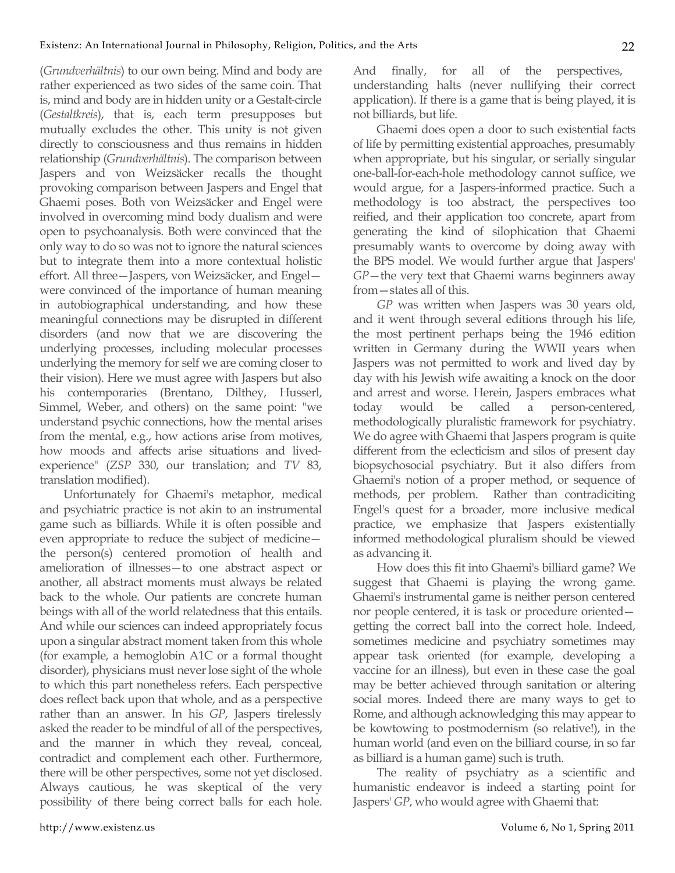(*Grundverhältnis*) to our own being. Mind and body are rather experienced as two sides of the same coin. That is, mind and body are in hidden unity or a Gestalt-circle (*Gestaltkreis*), that is, each term presupposes but mutually excludes the other. This unity is not given directly to consciousness and thus remains in hidden relationship (*Grundverhältnis*). The comparison between Jaspers and von Weizsäcker recalls the thought provoking comparison between Jaspers and Engel that Ghaemi poses. Both von Weizsäcker and Engel were involved in overcoming mind body dualism and were open to psychoanalysis. Both were convinced that the only way to do so was not to ignore the natural sciences but to integrate them into a more contextual holistic effort. All three—Jaspers, von Weizsäcker, and Engel were convinced of the importance of human meaning in autobiographical understanding, and how these meaningful connections may be disrupted in different disorders (and now that we are discovering the underlying processes, including molecular processes underlying the memory for self we are coming closer to their vision). Here we must agree with Jaspers but also his contemporaries (Brentano, Dilthey, Husserl, Simmel, Weber, and others) on the same point: "we understand psychic connections, how the mental arises from the mental, e.g., how actions arise from motives, how moods and affects arise situations and livedexperience" (*ZSP* 330, our translation; and *TV* 83, translation modified).

Unfortunately for Ghaemi's metaphor, medical and psychiatric practice is not akin to an instrumental game such as billiards. While it is often possible and even appropriate to reduce the subject of medicine the person(s) centered promotion of health and amelioration of illnesses—to one abstract aspect or another, all abstract moments must always be related back to the whole. Our patients are concrete human beings with all of the world relatedness that this entails. And while our sciences can indeed appropriately focus upon a singular abstract moment taken from this whole (for example, a hemoglobin A1C or a formal thought disorder), physicians must never lose sight of the whole to which this part nonetheless refers. Each perspective does reflect back upon that whole, and as a perspective rather than an answer. In his *GP*, Jaspers tirelessly asked the reader to be mindful of all of the perspectives, and the manner in which they reveal, conceal, contradict and complement each other. Furthermore, there will be other perspectives, some not yet disclosed. Always cautious, he was skeptical of the very possibility of there being correct balls for each hole. And finally, for all of the perspectives, understanding halts (never nullifying their correct application). If there is a game that is being played, it is not billiards, but life.

Ghaemi does open a door to such existential facts of life by permitting existential approaches, presumably when appropriate, but his singular, or serially singular one-ball-for-each-hole methodology cannot suffice, we would argue, for a Jaspers-informed practice. Such a methodology is too abstract, the perspectives too reified, and their application too concrete, apart from generating the kind of silophication that Ghaemi presumably wants to overcome by doing away with the BPS model. We would further argue that Jaspers' *GP*—the very text that Ghaemi warns beginners away from—states all of this.

*GP* was written when Jaspers was 30 years old, and it went through several editions through his life, the most pertinent perhaps being the 1946 edition written in Germany during the WWII years when Jaspers was not permitted to work and lived day by day with his Jewish wife awaiting a knock on the door and arrest and worse. Herein, Jaspers embraces what today would be called a person-centered, methodologically pluralistic framework for psychiatry. We do agree with Ghaemi that Jaspers program is quite different from the eclecticism and silos of present day biopsychosocial psychiatry. But it also differs from Ghaemi's notion of a proper method, or sequence of methods, per problem. Rather than contradiciting Engel's quest for a broader, more inclusive medical practice, we emphasize that Jaspers existentially informed methodological pluralism should be viewed as advancing it.

How does this fit into Ghaemi's billiard game? We suggest that Ghaemi is playing the wrong game. Ghaemi's instrumental game is neither person centered nor people centered, it is task or procedure oriented getting the correct ball into the correct hole. Indeed, sometimes medicine and psychiatry sometimes may appear task oriented (for example, developing a vaccine for an illness), but even in these case the goal may be better achieved through sanitation or altering social mores. Indeed there are many ways to get to Rome, and although acknowledging this may appear to be kowtowing to postmodernism (so relative!), in the human world (and even on the billiard course, in so far as billiard is a human game) such is truth.

The reality of psychiatry as a scientific and humanistic endeavor is indeed a starting point for Jaspers' *GP*, who would agree with Ghaemi that: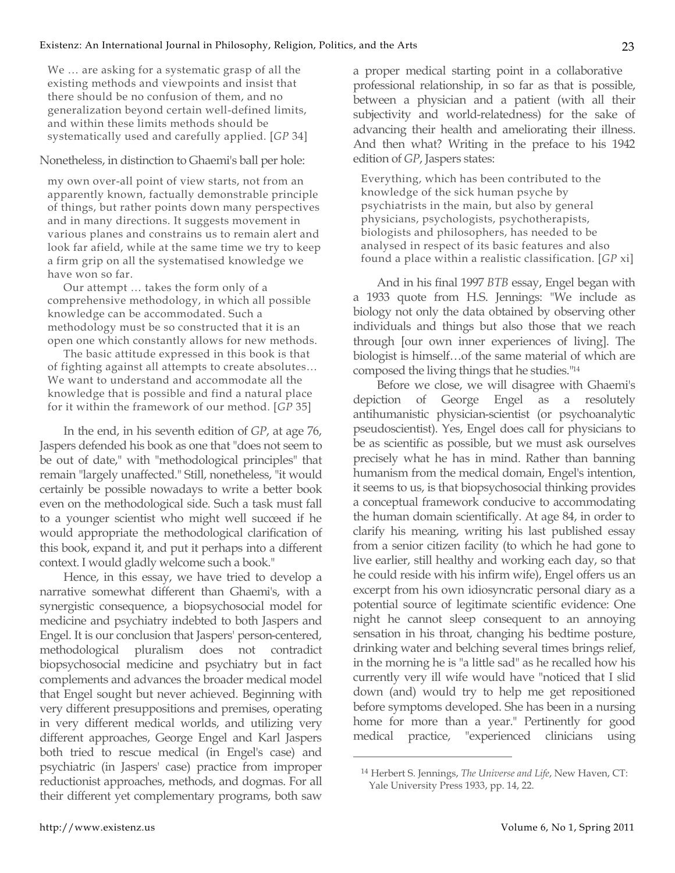We … are asking for a systematic grasp of all the existing methods and viewpoints and insist that there should be no confusion of them, and no generalization beyond certain well-defined limits, and within these limits methods should be systematically used and carefully applied. [*GP* 34]

## Nonetheless, in distinction to Ghaemi's ball per hole:

my own over-all point of view starts, not from an apparently known, factually demonstrable principle of things, but rather points down many perspectives and in many directions. It suggests movement in various planes and constrains us to remain alert and look far afield, while at the same time we try to keep a firm grip on all the systematised knowledge we have won so far.

Our attempt … takes the form only of a comprehensive methodology, in which all possible knowledge can be accommodated. Such a methodology must be so constructed that it is an open one which constantly allows for new methods.

The basic attitude expressed in this book is that of fighting against all attempts to create absolutes… We want to understand and accommodate all the knowledge that is possible and find a natural place for it within the framework of our method. [*GP* 35]

In the end, in his seventh edition of *GP*, at age 76, Jaspers defended his book as one that "does not seem to be out of date," with "methodological principles" that remain "largely unaffected." Still, nonetheless, "it would certainly be possible nowadays to write a better book even on the methodological side. Such a task must fall to a younger scientist who might well succeed if he would appropriate the methodological clarification of this book, expand it, and put it perhaps into a different context. I would gladly welcome such a book."

Hence, in this essay, we have tried to develop a narrative somewhat different than Ghaemi's, with a synergistic consequence, a biopsychosocial model for medicine and psychiatry indebted to both Jaspers and Engel. It is our conclusion that Jaspers' person-centered, methodological pluralism does not contradict biopsychosocial medicine and psychiatry but in fact complements and advances the broader medical model that Engel sought but never achieved. Beginning with very different presuppositions and premises, operating in very different medical worlds, and utilizing very different approaches, George Engel and Karl Jaspers both tried to rescue medical (in Engel's case) and psychiatric (in Jaspers' case) practice from improper reductionist approaches, methods, and dogmas. For all their different yet complementary programs, both saw

a proper medical starting point in a collaborative professional relationship, in so far as that is possible, between a physician and a patient (with all their subjectivity and world-relatedness) for the sake of advancing their health and ameliorating their illness. And then what? Writing in the preface to his 1942 edition of *GP*, Jaspers states:

Everything, which has been contributed to the knowledge of the sick human psyche by psychiatrists in the main, but also by general physicians, psychologists, psychotherapists, biologists and philosophers, has needed to be analysed in respect of its basic features and also found a place within a realistic classification. [*GP* xi]

And in his final 1997 *BTB* essay, Engel began with a 1933 quote from H.S. Jennings: "We include as biology not only the data obtained by observing other individuals and things but also those that we reach through [our own inner experiences of living]. The biologist is himself…of the same material of which are composed the living things that he studies."14

Before we close, we will disagree with Ghaemi's depiction of George Engel as a resolutely antihumanistic physician-scientist (or psychoanalytic pseudoscientist). Yes, Engel does call for physicians to be as scientific as possible, but we must ask ourselves precisely what he has in mind. Rather than banning humanism from the medical domain, Engel's intention, it seems to us, is that biopsychosocial thinking provides a conceptual framework conducive to accommodating the human domain scientifically. At age 84, in order to clarify his meaning, writing his last published essay from a senior citizen facility (to which he had gone to live earlier, still healthy and working each day, so that he could reside with his infirm wife), Engel offers us an excerpt from his own idiosyncratic personal diary as a potential source of legitimate scientific evidence: One night he cannot sleep consequent to an annoying sensation in his throat, changing his bedtime posture, drinking water and belching several times brings relief, in the morning he is "a little sad" as he recalled how his currently very ill wife would have "noticed that I slid down (and) would try to help me get repositioned before symptoms developed. She has been in a nursing home for more than a year." Pertinently for good medical practice, "experienced clinicians using

<sup>14</sup> Herbert S. Jennings, *The Universe and Life*, New Haven, CT: Yale University Press 1933, pp. 14, 22.